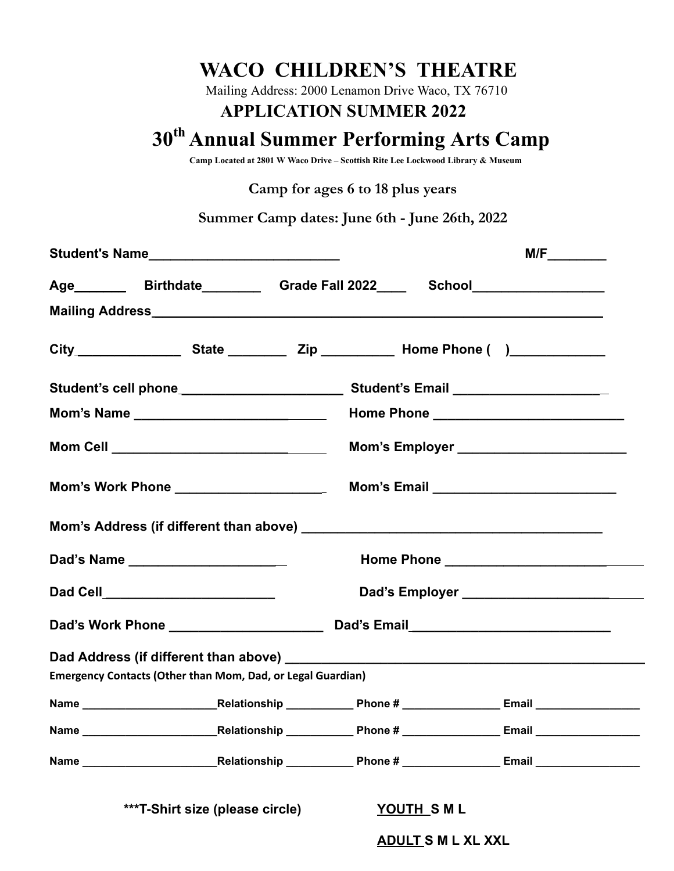## **WACO CHILDREN'S THEATRE**

Mailing Address: 2000 Lenamon Drive Waco, TX 76710

## **APPLICATION SUMMER 2022**

# **30 th Annual Summer Performing Arts Camp**

**Camp Located at 2801 W Waco Drive – Scottish Rite Lee Lockwood Library & Museum**

### **Camp for ages 6 to 18 plus years**

**Summer Camp dates: June 6th - June 26th, 2022**

|      | Student's Name_______________________________                      |                                                                                                      |  |
|------|--------------------------------------------------------------------|------------------------------------------------------------------------------------------------------|--|
|      |                                                                    | Age _________ Birthdate _________ Grade Fall 2022 ____ School __________________                     |  |
|      |                                                                    |                                                                                                      |  |
|      |                                                                    |                                                                                                      |  |
|      |                                                                    |                                                                                                      |  |
|      |                                                                    |                                                                                                      |  |
|      |                                                                    |                                                                                                      |  |
|      |                                                                    |                                                                                                      |  |
|      | Dad's Name _______________________                                 |                                                                                                      |  |
|      | Dad Cell__________________________                                 | Dad's Employer ________________________                                                              |  |
|      |                                                                    |                                                                                                      |  |
|      | <b>Emergency Contacts (Other than Mom, Dad, or Legal Guardian)</b> |                                                                                                      |  |
|      |                                                                    |                                                                                                      |  |
| Name |                                                                    | ___________________________Relationship ______________Phone # __________________ Email _____________ |  |
|      |                                                                    |                                                                                                      |  |
|      | ***T-Shirt size (please circle)                                    | YOUTH SML<br><b>ADULT S M L XL XXL</b>                                                               |  |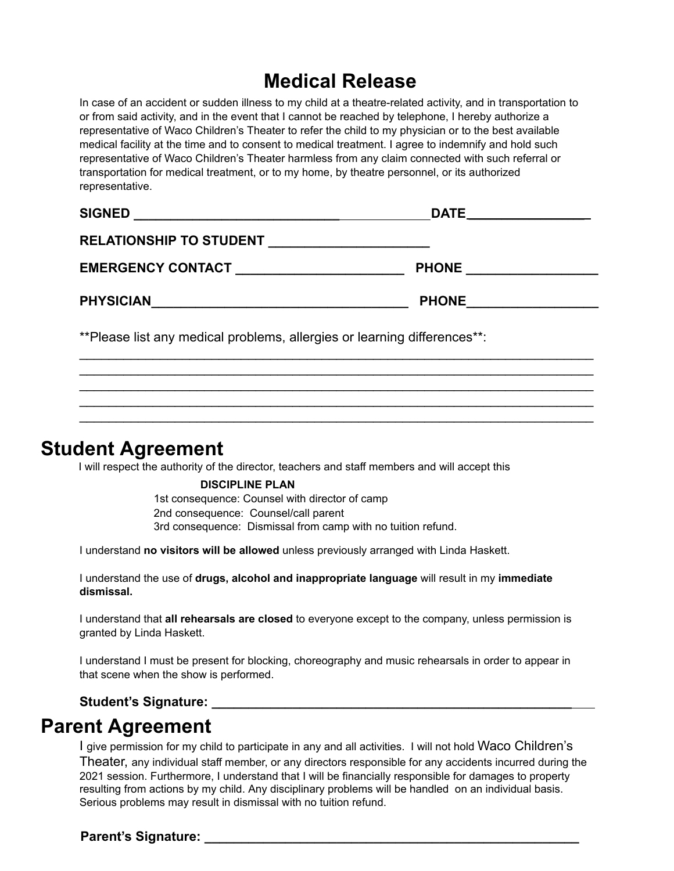# **Medical Release**

In case of an accident or sudden illness to my child at a theatre-related activity, and in transportation to or from said activity, and in the event that I cannot be reached by telephone, I hereby authorize a representative of Waco Children's Theater to refer the child to my physician or to the best available medical facility at the time and to consent to medical treatment. I agree to indemnify and hold such representative of Waco Children's Theater harmless from any claim connected with such referral or transportation for medical treatment, or to my home, by theatre personnel, or its authorized representative.

| <b>SIGNED</b>                                                             | <b>DATE</b>  |
|---------------------------------------------------------------------------|--------------|
| RELATIONSHIP TO STUDENT ________________                                  |              |
| EMERGENCY CONTACT <b>EXECUTABLE INC.</b>                                  | <b>PHONE</b> |
| <b>PHYSICIAN</b>                                                          | <b>PHONE</b> |
| ** Please list any medical problems, allergies or learning differences**: |              |

 $\mathcal{L}_\mathcal{L} = \{ \mathcal{L}_\mathcal{L} = \{ \mathcal{L}_\mathcal{L} = \{ \mathcal{L}_\mathcal{L} = \{ \mathcal{L}_\mathcal{L} = \{ \mathcal{L}_\mathcal{L} = \{ \mathcal{L}_\mathcal{L} = \{ \mathcal{L}_\mathcal{L} = \{ \mathcal{L}_\mathcal{L} = \{ \mathcal{L}_\mathcal{L} = \{ \mathcal{L}_\mathcal{L} = \{ \mathcal{L}_\mathcal{L} = \{ \mathcal{L}_\mathcal{L} = \{ \mathcal{L}_\mathcal{L} = \{ \mathcal{L}_\mathcal{$  $\mathcal{L}_\mathcal{L} = \{ \mathcal{L}_\mathcal{L} = \{ \mathcal{L}_\mathcal{L} = \{ \mathcal{L}_\mathcal{L} = \{ \mathcal{L}_\mathcal{L} = \{ \mathcal{L}_\mathcal{L} = \{ \mathcal{L}_\mathcal{L} = \{ \mathcal{L}_\mathcal{L} = \{ \mathcal{L}_\mathcal{L} = \{ \mathcal{L}_\mathcal{L} = \{ \mathcal{L}_\mathcal{L} = \{ \mathcal{L}_\mathcal{L} = \{ \mathcal{L}_\mathcal{L} = \{ \mathcal{L}_\mathcal{L} = \{ \mathcal{L}_\mathcal{$  $\mathcal{L}_\mathcal{L} = \{ \mathcal{L}_\mathcal{L} = \{ \mathcal{L}_\mathcal{L} = \{ \mathcal{L}_\mathcal{L} = \{ \mathcal{L}_\mathcal{L} = \{ \mathcal{L}_\mathcal{L} = \{ \mathcal{L}_\mathcal{L} = \{ \mathcal{L}_\mathcal{L} = \{ \mathcal{L}_\mathcal{L} = \{ \mathcal{L}_\mathcal{L} = \{ \mathcal{L}_\mathcal{L} = \{ \mathcal{L}_\mathcal{L} = \{ \mathcal{L}_\mathcal{L} = \{ \mathcal{L}_\mathcal{L} = \{ \mathcal{L}_\mathcal{$  $\mathcal{L}_\mathcal{L} = \{ \mathcal{L}_\mathcal{L} = \{ \mathcal{L}_\mathcal{L} = \{ \mathcal{L}_\mathcal{L} = \{ \mathcal{L}_\mathcal{L} = \{ \mathcal{L}_\mathcal{L} = \{ \mathcal{L}_\mathcal{L} = \{ \mathcal{L}_\mathcal{L} = \{ \mathcal{L}_\mathcal{L} = \{ \mathcal{L}_\mathcal{L} = \{ \mathcal{L}_\mathcal{L} = \{ \mathcal{L}_\mathcal{L} = \{ \mathcal{L}_\mathcal{L} = \{ \mathcal{L}_\mathcal{L} = \{ \mathcal{L}_\mathcal{$  $\mathcal{L}_\mathcal{L} = \{ \mathcal{L}_\mathcal{L} = \{ \mathcal{L}_\mathcal{L} = \{ \mathcal{L}_\mathcal{L} = \{ \mathcal{L}_\mathcal{L} = \{ \mathcal{L}_\mathcal{L} = \{ \mathcal{L}_\mathcal{L} = \{ \mathcal{L}_\mathcal{L} = \{ \mathcal{L}_\mathcal{L} = \{ \mathcal{L}_\mathcal{L} = \{ \mathcal{L}_\mathcal{L} = \{ \mathcal{L}_\mathcal{L} = \{ \mathcal{L}_\mathcal{L} = \{ \mathcal{L}_\mathcal{L} = \{ \mathcal{L}_\mathcal{$ 

## **Student Agreement**

I will respect the authority of the director, teachers and staff members and will accept this

#### **DISCIPLINE PLAN**

1st consequence: Counsel with director of camp 2nd consequence: Counsel/call parent 3rd consequence: Dismissal from camp with no tuition refund.

I understand **no visitors will be allowed** unless previously arranged with Linda Haskett.

I understand the use of **drugs, alcohol and inappropriate language** will result in my **immediate dismissal.**

I understand that **all rehearsals are closed** to everyone except to the company, unless permission is granted by Linda Haskett.

I understand I must be present for blocking, choreography and music rehearsals in order to appear in that scene when the show is performed.

#### Student's Signature: **Example 2018**

## **Parent Agreement**

I give permission for my child to participate in any and all activities. I will not hold Waco Children's Theater, any individual staff member, or any directors responsible for any accidents incurred during the 2021 session. Furthermore, I understand that I will be financially responsible for damages to property resulting from actions by my child. Any disciplinary problems will be handled on an individual basis. Serious problems may result in dismissal with no tuition refund.

**Parent's Signature:**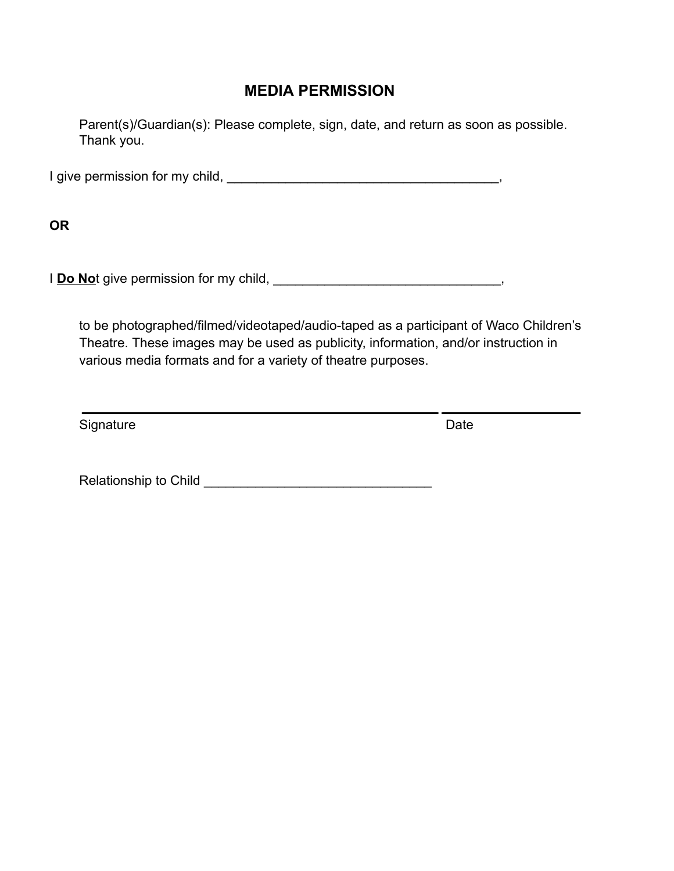## **MEDIA PERMISSION**

Parent(s)/Guardian(s): Please complete, sign, date, and return as soon as possible. Thank you.

I give permission for my child, \_\_\_\_\_\_\_\_\_\_\_\_\_\_\_\_\_\_\_\_\_\_\_\_\_\_\_\_\_\_\_\_\_\_\_\_\_,

**OR**

I **Do No**t give permission for my child, **Do Not and The Not all Allen Container**,

to be photographed/filmed/videotaped/audio-taped as a participant of Waco Children's Theatre. These images may be used as publicity, information, and/or instruction in various media formats and for a variety of theatre purposes.

Signature Date Date

Relationship to Child \_\_\_\_\_\_\_\_\_\_\_\_\_\_\_\_\_\_\_\_\_\_\_\_\_\_\_\_\_\_\_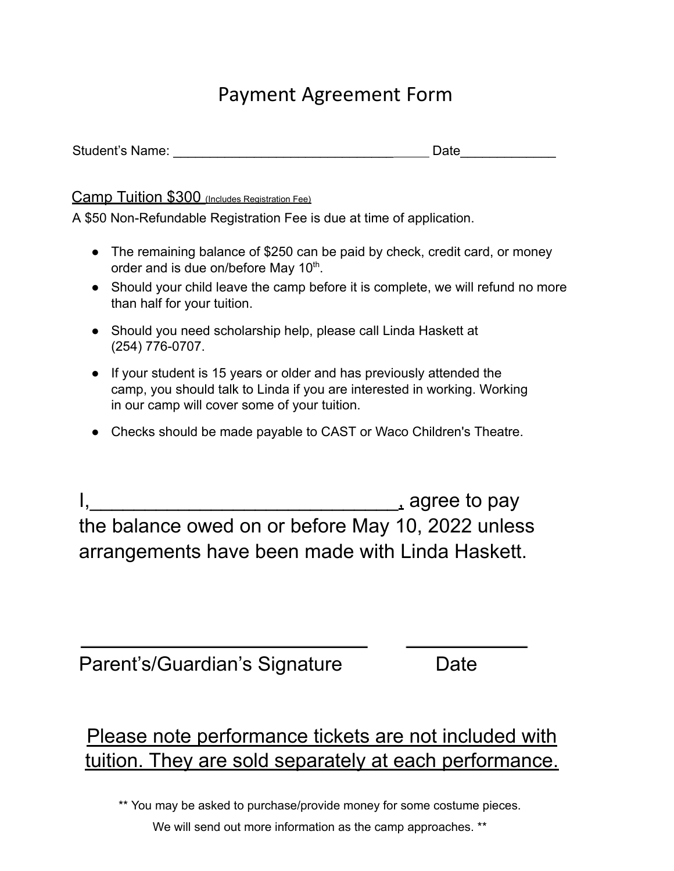# Payment Agreement Form

### Camp Tuition \$300 (Includes Registration Fee)

A \$50 Non-Refundable Registration Fee is due at time of application.

- The remaining balance of \$250 can be paid by check, credit card, or money order and is due on/before May  $10<sup>th</sup>$ .
- Should your child leave the camp before it is complete, we will refund no more than half for your tuition.
- Should you need scholarship help, please call Linda Haskett at (254) 776-0707.
- If your student is 15 years or older and has previously attended the camp, you should talk to Linda if you are interested in working. Working in our camp will cover some of your tuition.
- Checks should be made payable to CAST or Waco Children's Theatre.

 $\blacksquare$  agree to pay the balance owed on or before May 10, 2022 unless arrangements have been made with Linda Haskett.

Parent's/Guardian's Signature Date

# Please note performance tickets are not included with tuition. They are sold separately at each performance.

\*\* You may be asked to purchase/provide money for some costume pieces.

We will send out more information as the camp approaches. \*\*